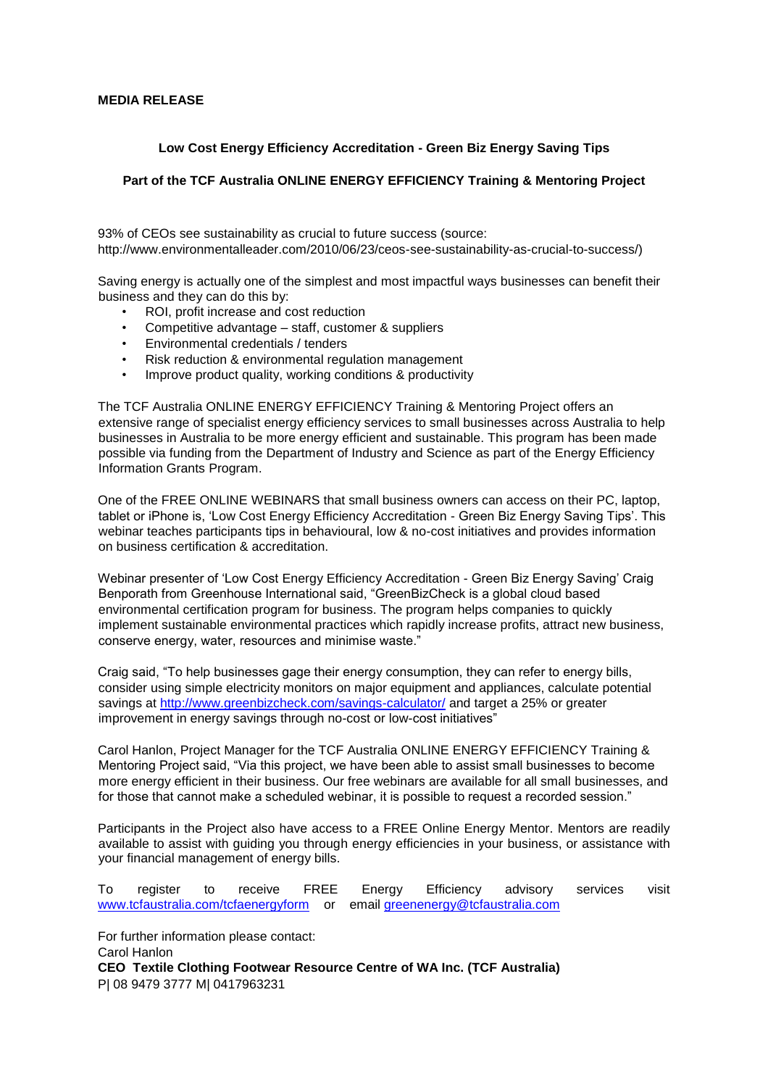## **MEDIA RELEASE**

## **Low Cost Energy Efficiency Accreditation - Green Biz Energy Saving Tips**

## **Part of the TCF Australia ONLINE ENERGY EFFICIENCY Training & Mentoring Project**

93% of CEOs see sustainability as crucial to future success (source: http://www.environmentalleader.com/2010/06/23/ceos-see-sustainability-as-crucial-to-success/)

Saving energy is actually one of the simplest and most impactful ways businesses can benefit their business and they can do this by:

- ROI, profit increase and cost reduction
- Competitive advantage staff, customer & suppliers
- Environmental credentials / tenders
- Risk reduction & environmental regulation management
- Improve product quality, working conditions & productivity

The TCF Australia ONLINE ENERGY EFFICIENCY Training & Mentoring Project offers an extensive range of specialist energy efficiency services to small businesses across Australia to help businesses in Australia to be more energy efficient and sustainable. This program has been made possible via funding from the Department of Industry and Science as part of the Energy Efficiency Information Grants Program.

One of the FREE ONLINE WEBINARS that small business owners can access on their PC, laptop, tablet or iPhone is, 'Low Cost Energy Efficiency Accreditation - Green Biz Energy Saving Tips'. This webinar teaches participants tips in behavioural, low & no-cost initiatives and provides information on business certification & accreditation.

Webinar presenter of 'Low Cost Energy Efficiency Accreditation - Green Biz Energy Saving' Craig Benporath from Greenhouse International said, "GreenBizCheck is a global cloud based environmental certification program for business. The program helps companies to quickly implement sustainable environmental practices which rapidly increase profits, attract new business, conserve energy, water, resources and minimise waste."

Craig said, "To help businesses gage their energy consumption, they can refer to energy bills, consider using simple electricity monitors on major equipment and appliances, calculate potential savings at http://www.greenbizcheck.com/savings-calculator/ and target a 25% or greater improvement in energy savings through no-cost or low-cost initiatives"

Carol Hanlon, Project Manager for the TCF Australia ONLINE ENERGY EFFICIENCY Training & Mentoring Project said, "Via this project, we have been able to assist small businesses to become more energy efficient in their business. Our free webinars are available for all small businesses, and for those that cannot make a scheduled webinar, it is possible to request a recorded session."

Participants in the Project also have access to a FREE Online Energy Mentor. Mentors are readily available to assist with guiding you through energy efficiencies in your business, or assistance with your financial management of energy bills.

To register to receive FREE Energy Efficiency advisory services visit www.tcfaustralia.com/tcfaenergyform or email greenenergy@tcfaustralia.com

For further information please contact: Carol Hanlon **CEO Textile Clothing Footwear Resource Centre of WA Inc. (TCF Australia)**  P| 08 9479 3777 M| 0417963231